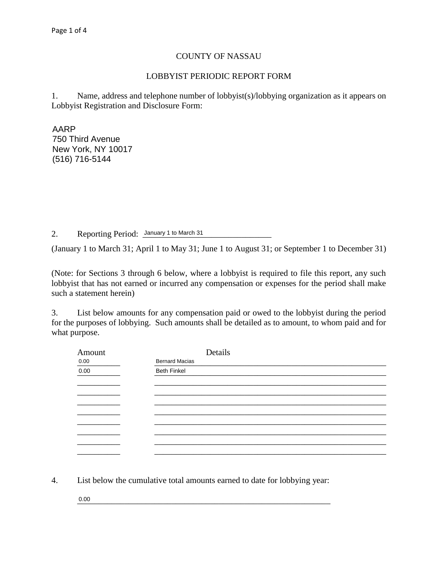## COUNTY OF NASSAU

## LOBBYIST PERIODIC REPORT FORM

1. Name, address and telephone number of lobbyist(s)/lobbying organization as it appears on Lobbyist Registration and Disclosure Form:

 $\land \land \text{DD}$ \_\_\_\_\_\_\_\_\_\_\_\_\_\_\_\_\_\_\_\_\_\_\_\_\_\_\_\_\_\_\_\_\_\_\_\_\_\_\_\_\_\_\_\_\_\_\_\_\_\_\_\_\_\_\_\_\_\_\_\_\_\_\_\_\_\_\_\_\_\_\_\_\_\_\_\_\_\_ New York, NY 10017  $\overline{a}$ AARP 750 Third Avenue (516) 716-5144

2. Reporting Period: January 1 to March 31

(January 1 to March 31; April 1 to May 31; June 1 to August 31; or September 1 to December 31)

(Note: for Sections 3 through 6 below, where a lobbyist is required to file this report, any such lobbyist that has not earned or incurred any compensation or expenses for the period shall make such a statement herein)

3. List below amounts for any compensation paid or owed to the lobbyist during the period for the purposes of lobbying. Such amounts shall be detailed as to amount, to whom paid and for what purpose.

| Amount              | Details               |  |
|---------------------|-----------------------|--|
|                     | <b>Bernard Macias</b> |  |
| $\frac{0.00}{0.00}$ | <b>Beth Finkel</b>    |  |
|                     |                       |  |
|                     |                       |  |
|                     |                       |  |
|                     |                       |  |
|                     |                       |  |
|                     |                       |  |
|                     |                       |  |
|                     |                       |  |
|                     |                       |  |

4. List below the cumulative total amounts earned to date for lobbying year:

 $\_0.00$ 0.00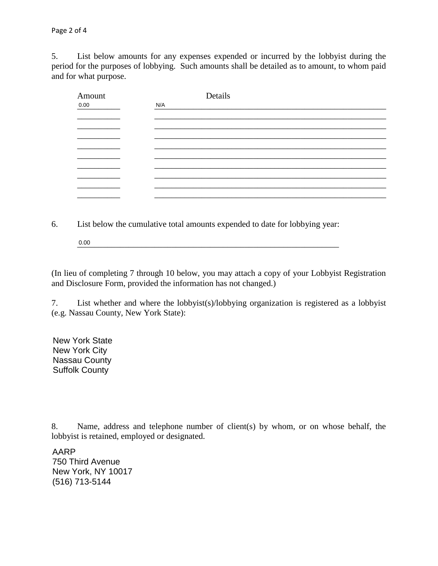5. List below amounts for any expenses expended or incurred by the lobbyist during the period for the purposes of lobbying. Such amounts shall be detailed as to amount, to whom paid and for what purpose.

| Amount<br>0.00 | Details<br>N/A |
|----------------|----------------|
|                |                |
|                |                |
|                |                |
|                |                |
|                |                |
|                |                |
|                |                |
|                |                |
|                |                |

6. List below the cumulative total amounts expended to date for lobbying year:

 $\_0.00$ 0.00

(In lieu of completing 7 through 10 below, you may attach a copy of your Lobbyist Registration and Disclosure Form, provided the information has not changed.)

7. List whether and where the lobbyist(s)/lobbying organization is registered as a lobbyist (e.g. Nassau County, New York State):

New York State and the state of the state of the state of the state of the state of the state of the state of the state of the state of the state of the state of the state of the state of the state of the state of the stat which controlled the controlled term of the controlled term of the controlled term of the controlled term of the controlled term of the controlled term of the controlled term of the controlled term of the controlled term o  $\mathcal{L}$  and the coming density of  $\mathcal{L}$  and  $\mathcal{L}$ New York City Suffolk County

8. Name, address and telephone number of client(s) by whom, or on whose behalf, the lobbyist is retained, employed or designated.

750 Third Avenue **The Executive Server Avenue** Avenue **The Executive Server Avenue Avenue** \_\_\_\_\_\_\_\_\_\_\_\_\_\_\_\_\_\_\_\_\_\_\_\_\_\_\_\_\_\_\_\_\_\_\_\_\_\_\_\_\_\_\_\_\_\_\_\_\_\_\_\_\_\_\_\_\_\_\_\_\_\_\_\_\_\_\_\_\_\_\_\_\_\_\_\_\_\_ (516) 713-5144AARP New York, NY 10017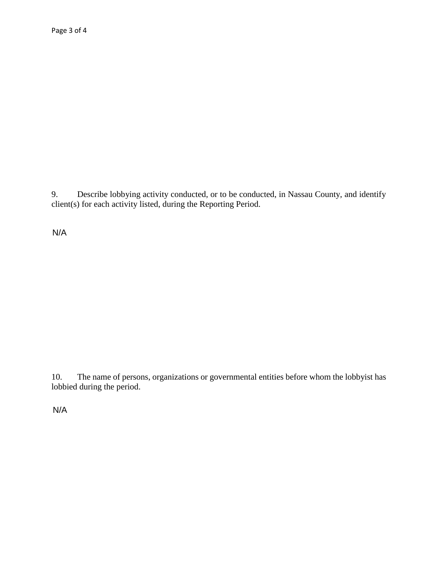9. Describe lobbying activity conducted, or to be conducted, in Nassau County, and identify client(s) for each activity listed, during the Reporting Period.

 $N/A$ 

The name of persons, organizations or governmental entities before whom the lobbyist has 10. lobbied during the period.

 $N/A$